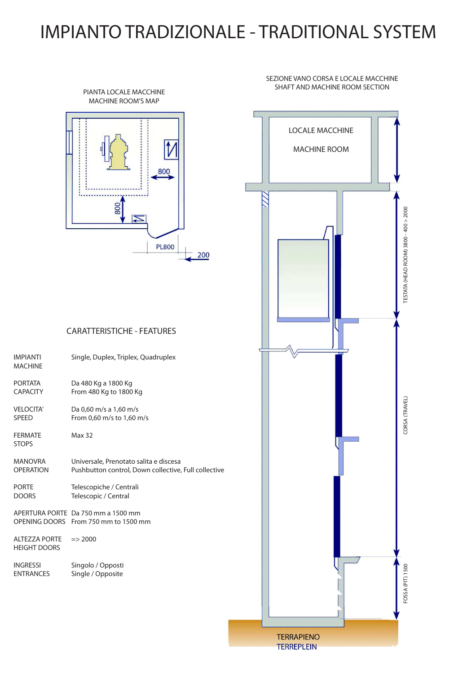## IMPIANTO TRADIZIONALE - TRADITIONAL SYSTEM

## SEZIONE VANO CORSA E LOCALE MACCHINE SHAFT AND MACHINE ROOM SECTION



## CARATTERISTICHE - FEATURES

| <b>IMPIANTI</b><br><b>MACHINE</b>           | Single, Duplex, Triplex, Quadruplex                                                            |
|---------------------------------------------|------------------------------------------------------------------------------------------------|
| <b>PORTATA</b><br><b>CAPACITY</b>           | Da 480 Kg a 1800 Kg<br>From 480 Kg to 1800 Kg                                                  |
| <b>VELOCITA'</b><br><b>SPEED</b>            | Da 0,60 m/s a 1,60 m/s<br>From 0,60 m/s to 1,60 m/s                                            |
| <b>FERMATE</b><br><b>STOPS</b>              | <b>Max 32</b>                                                                                  |
| <b>MANOVRA</b><br><b>OPERATION</b>          | Universale, Prenotato salita e discesa<br>Pushbutton control, Down collective, Full collective |
| <b>PORTE</b><br><b>DOORS</b>                | Telescopiche / Centrali<br>Telescopic / Central                                                |
|                                             | APERTURA PORTE Da 750 mm a 1500 mm<br>OPENING DOORS From 750 mm to 1500 mm                     |
| <b>ALTEZZA PORTE</b><br><b>HEIGHT DOORS</b> | $\Rightarrow$ 2000                                                                             |
| <b>INGRESSI</b><br><b>ENTRANCES</b>         | Singolo / Opposti<br>Single / Opposite                                                         |
|                                             |                                                                                                |
|                                             |                                                                                                |